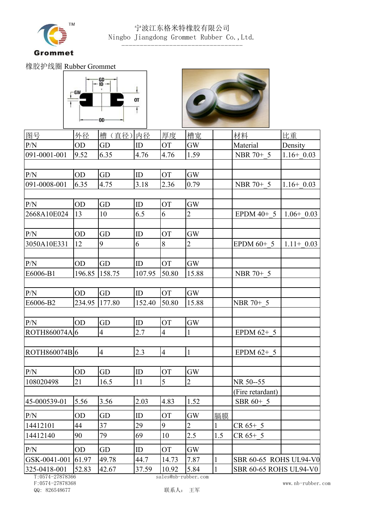

## 宁波江东格米特橡胶有限公司 Ningbo Jiangdong Grommet Rubber Co.,Ltd.

橡胶护线圈 Rubber Grommet





---------------------------------

| 图号                 | 外径        | 槽(直径)内径             |        | 厚度             | 槽宽             |     | 材料                            | 比重           |  |  |
|--------------------|-----------|---------------------|--------|----------------|----------------|-----|-------------------------------|--------------|--|--|
| P/N                | <b>OD</b> | GD                  | ID     | <b>OT</b>      | <b>GW</b>      |     | Material                      | Density      |  |  |
| 091-0001-001       | 9.52      | 6.35                | 4.76   | 4.76           | 1.59           |     | NBR 70+ 5                     | $1.16+0.03$  |  |  |
|                    |           |                     |        |                |                |     |                               |              |  |  |
| P/N                | OD        | GD                  | ID     | <b>OT</b>      | <b>GW</b>      |     |                               |              |  |  |
| 091-0008-001       | 6.35      | 4.75                | 3.18   | 2.36           | 0.79           |     | NBR 70+ 5                     | $1.16+0.03$  |  |  |
|                    |           |                     |        |                |                |     |                               |              |  |  |
| P/N                | OD        | <b>GD</b>           | ID     | <b>OT</b>      | <b>GW</b>      |     |                               |              |  |  |
| 2668A10E024        | 13        | 10                  | 6.5    | 6              | 2              |     | EPDM $40+5$                   | $1.06+0.03$  |  |  |
| P/N                | <b>OD</b> | GD                  | ID     | <b>OT</b>      | <b>GW</b>      |     |                               |              |  |  |
| 3050A10E331        | 12        | 9                   | 6      | 8              | 2              |     | EPDM $60+5$                   | $1.11+ 0.03$ |  |  |
|                    |           |                     |        |                |                |     |                               |              |  |  |
| P/N                | <b>OD</b> | <b>GD</b>           | ID     | <b>OT</b>      | <b>GW</b>      |     |                               |              |  |  |
| E6006-B1           | 196.85    | 158.75              | 107.95 | 50.80          | 15.88          |     | NBR 70+ 5                     |              |  |  |
|                    |           |                     |        |                |                |     |                               |              |  |  |
| P/N                | <b>OD</b> | GD                  | ID     | <b>OT</b>      | <b>GW</b>      |     |                               |              |  |  |
| E6006-B2           | 234.95    | 177.80              | 152.40 | 50.80          | 15.88          |     | NBR 70+ 5                     |              |  |  |
|                    |           |                     |        |                |                |     |                               |              |  |  |
| P/N                | OD        | $\operatorname{GD}$ | ID     | <b>OT</b>      | <b>GW</b>      |     |                               |              |  |  |
| ROTH860074A 6      |           | 4                   | 2.7    | $\overline{4}$ |                |     | EPDM $62+5$                   |              |  |  |
|                    |           |                     |        |                |                |     |                               |              |  |  |
| ROTH860074B6       |           | $\overline{4}$      | 2.3    | $\overline{4}$ |                |     | EPDM $62+5$                   |              |  |  |
|                    |           |                     |        |                |                |     |                               |              |  |  |
| P/N                | OD        | GD                  | ID     | <b>OT</b>      | <b>GW</b>      |     |                               |              |  |  |
| 108020498          | 21        | 16.5                | 11     | 5              | $\overline{2}$ |     | NR 50--55                     |              |  |  |
|                    |           |                     |        |                |                |     | (Fire retardant)              |              |  |  |
| 45-000539-01       | 5.56      | 3.56                | 2.03   | 4.83           | 1.52           |     | SBR 60+ 5                     |              |  |  |
| P/N                | <b>OD</b> | GD                  | ID     | <b>OT</b>      | <b>GW</b>      | 膈膜  |                               |              |  |  |
| 14412101           | 44        | 37                  | 29     | 9              | $\overline{2}$ |     | CR 65+ 5                      |              |  |  |
| 14412140           | 90        | 79                  | 69     | 10             | 2.5            | 1.5 | $CR 65+ 5$                    |              |  |  |
| P/N                | <b>OD</b> | GD                  | ID     | <b>OT</b>      | <b>GW</b>      |     |                               |              |  |  |
| GSK-0041-001 61.97 |           | 49.78               | 44.7   | 14.73          | 7.87           |     | SBR 60-65 ROHS UL94-V0        |              |  |  |
| 325-0418-001       | 52.83     | 42.67               | 37.59  | 10.92          | 5.84           |     | <b>SBR 60-65 ROHS UL94-V0</b> |              |  |  |
| T.0574.07070200    |           |                     |        |                |                |     |                               |              |  |  |